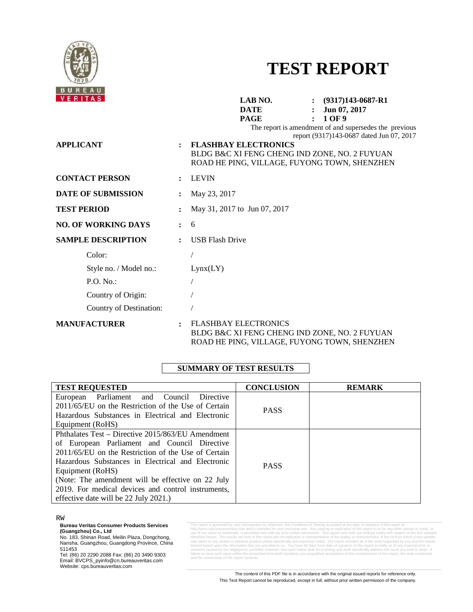

# **TEST REPORT**

| <b>ERITAS</b>              |                | LAB NO.<br>$: (9317)143-0687-R1$                                           |
|----------------------------|----------------|----------------------------------------------------------------------------|
|                            |                | <b>DATE</b><br>Jun 07, 2017                                                |
|                            |                | <b>PAGE</b><br>1 OF 9                                                      |
|                            |                | The report is amendment of and supersedes the previous                     |
| <b>APPLICANT</b>           | $\ddot{\cdot}$ | report (9317)143-0687 dated Jun 07, 2017<br><b>FLASHBAY ELECTRONICS</b>    |
|                            |                | BLDG B&C XI FENG CHENG IND ZONE, NO. 2 FUYUAN                              |
|                            |                | ROAD HE PING, VILLAGE, FUYONG TOWN, SHENZHEN                               |
|                            |                |                                                                            |
| <b>CONTACT PERSON</b>      |                | <b>LEVIN</b>                                                               |
| <b>DATE OF SUBMISSION</b>  |                | May 23, 2017                                                               |
| <b>TEST PERIOD</b>         |                | May 31, 2017 to Jun 07, 2017                                               |
| <b>NO. OF WORKING DAYS</b> | $\mathbf{L}$   | 6                                                                          |
| <b>SAMPLE DESCRIPTION</b>  |                | <b>USB Flash Drive</b>                                                     |
| Color:                     |                |                                                                            |
| Style no. / Model no.:     |                | Lynx(LY)                                                                   |
| P.O. No.:                  |                |                                                                            |
| Country of Origin:         |                |                                                                            |
| Country of Destination:    |                |                                                                            |
| <b>MANUFACTURER</b>        | $\ddot{\cdot}$ | <b>FLASHBAY ELECTRONICS</b><br>BLDG B&C XI FENG CHENG IND ZONE NO 2 FUYUAN |

#### XI FENG CHENG IND ZONE, NO. 2 FUYUAN ROAD HE PING, VILLAGE, FUYONG TOWN, SHENZHEN

## **SUMMARY OF TEST RESULTS**

| <b>TEST REQUESTED</b>                               | <b>CONCLUSION</b> | <b>REMARK</b> |
|-----------------------------------------------------|-------------------|---------------|
| European Parliament and Council Directive           |                   |               |
| 2011/65/EU on the Restriction of the Use of Certain | <b>PASS</b>       |               |
| Hazardous Substances in Electrical and Electronic   |                   |               |
| Equipment (RoHS)                                    |                   |               |
| Phthalates Test – Directive 2015/863/EU Amendment   |                   |               |
| of European Parliament and Council Directive        | <b>PASS</b>       |               |
| 2011/65/EU on the Restriction of the Use of Certain |                   |               |
| Hazardous Substances in Electrical and Electronic   |                   |               |
| Equipment (RoHS)                                    |                   |               |
| (Note: The amendment will be effective on 22 July   |                   |               |
| 2019. For medical devices and control instruments,  |                   |               |
| effective date will be 22 July 2021.)               |                   |               |

#### RW

# **Bureau Veritas Consumer Products Services**

**(Guangzhou) Co., Ltd**<br>No. 183, Shinan Road, Meilin Plaza, Dongchong,<br>Nansha, Guangzhou, Guangdong Province, China 511453

Tel: (86) 20 2290 2088 Fax: (86) 20 3490 9303 Email: BVCPS\_pyinfo@cn.bureauveritas.com Website: cps.bureauveritas.com

This report is governed by, and incorporates by reference, the Conditions of Testing as posted at the date of a<br>thtp://www.cps.bureauveritas.com and is intended for your exclusive use. Any copying or replication of this re vas taken or any similar or identical product unless specifically and expressly noted. Our report includes all of the tests requested by you and the result<br>hereof based upon the information that you provided to us. You hav thereof based upon the information that you provided to us. You have 60 days from date of issuance of this report to notify us of any material error or<br>omission caused by our negligence; provided, however, that such notice failure to raise such interactions to refer that such notice shall be in writing and shall specifically address the issue<br>ise such issue within the prescribed time shall constitute you unqualified acceptance of the complet as of the report

> The content of this PDF file is in accordance with the original issued reports for reference only. This Test Report cannot be reproduced, except in full, without prior written permission of the company.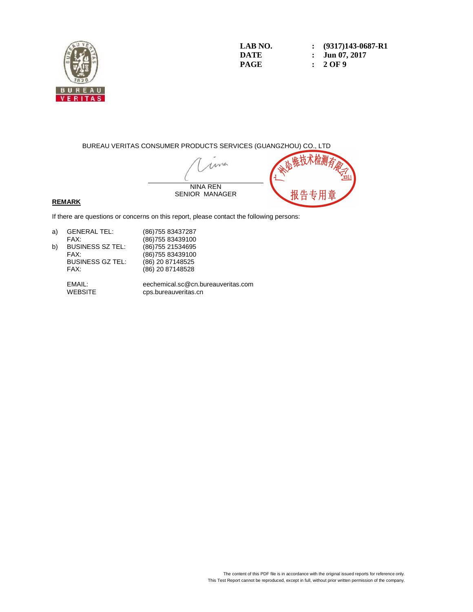

**LAB NO. : (9317)143-0687-R1 DATE : Jun 07, 2017 PAGE : 2 OF 9** 

BUREAU VERITAS CONSUMER PRODUCTS SERVICES (GUANGZHOU) CO., LTD

ma NINA REN 报告 SENIOR MANAGER

#### **REMARK**

If there are questions or concerns on this report, please contact the following persons:

| a) | <b>GENERAL TEL:</b>     | (86) 755 83437287  |
|----|-------------------------|--------------------|
|    | FAX:                    | (86) 755 83439100  |
| b) | <b>BUSINESS SZ TEL:</b> | (86) 755 21534 695 |
|    | FAX:                    | (86) 755 83439100  |
|    | <b>BUSINESS GZ TEL:</b> | (86) 20 87148525   |
|    | FAX:                    | (86) 20 87148528   |
|    |                         |                    |

 EMAIL: eechemical.sc@cn.bureauveritas.com cps.bureauveritas.cn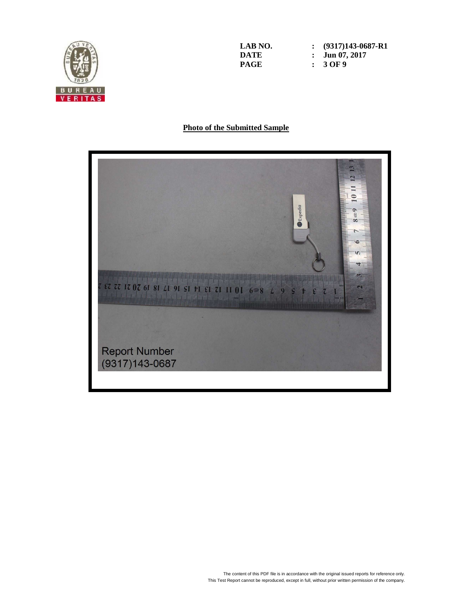

**LAB NO. : (9317)143-0687-R1 DATE : Jun 07, 2017 PAGE : 3 OF 9** 

#### **Photo of the Submitted Sample**

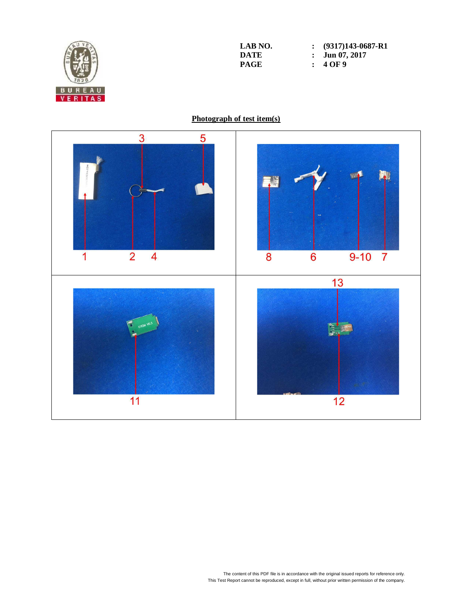

**LAB NO. : (9317)143-0687-R1 DATE : Jun 07, 2017 PAGE : 4 OF 9** 

## **Photograph of test item(s)**

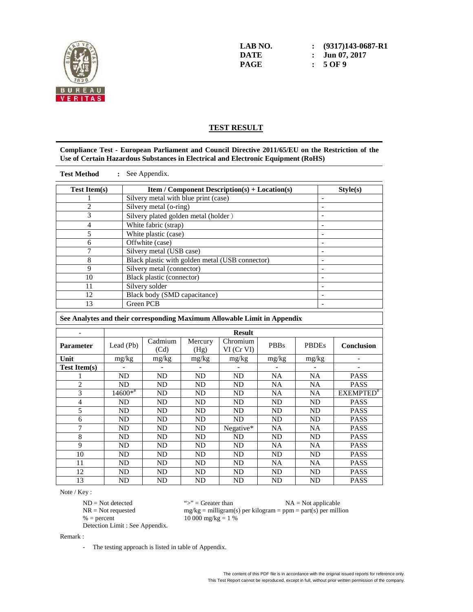

#### **TEST RESULT**

#### **Compliance Test - European Parliament and Council Directive 2011/65/EU on the Restriction of the Use of Certain Hazardous Substances in Electrical and Electronic Equipment (RoHS)**

| <b>Test Item(s)</b> | <b>Item / Component Description(s) + Location(s)</b> | Style(s) |
|---------------------|------------------------------------------------------|----------|
|                     | Silvery metal with blue print (case)                 |          |
| 2                   | Silvery metal (o-ring)                               |          |
| 3                   | Silvery plated golden metal (holder)                 |          |
| 4                   | White fabric (strap)                                 |          |
| 5                   | White plastic (case)                                 |          |
| 6                   | Offwhite (case)                                      |          |
|                     | Silvery metal (USB case)                             |          |
| 8                   | Black plastic with golden metal (USB connector)      |          |
| 9                   | Silvery metal (connector)                            |          |
| 10                  | Black plastic (connector)                            |          |
| 11                  | Silvery solder                                       |          |
| 12                  | Black body (SMD capacitance)                         |          |
| 13                  | Green PCB                                            |          |

**See Analytes and their corresponding Maximum Allowable Limit in Appendix** 

| -                   | <b>Result</b> |                 |                 |                             |                        |              |                       |  |
|---------------------|---------------|-----------------|-----------------|-----------------------------|------------------------|--------------|-----------------------|--|
| <b>Parameter</b>    | Lead (Pb)     | Cadmium<br>(Cd) | Mercury<br>(Hg) | Chromium<br>$VI$ (Cr $VI$ ) | <b>PBBs</b>            | <b>PBDEs</b> | <b>Conclusion</b>     |  |
| Unit                | mg/kg         | mg/kg           | mg/kg           | mg/kg                       | mg/kg                  | mg/kg        |                       |  |
| <b>Test Item(s)</b> |               |                 |                 |                             |                        |              |                       |  |
|                     | ND            | ND              | ND              | ND                          | NA                     | <b>NA</b>    | <b>PASS</b>           |  |
| $\overline{c}$      | <b>ND</b>     | ND              | ND              | ND                          | <b>NA</b>              | NA           | <b>PASS</b>           |  |
| 3                   | $14600**$     | ND              | ND              | ND                          | <b>NA</b>              | NA           | EXEMPTED <sup>#</sup> |  |
| 4                   | ND            | ND              | ND              | ND                          | ND<br>ND               |              | <b>PASS</b>           |  |
| 5                   | ND            | ND              | ND              | ND                          | ND                     | ND           | <b>PASS</b>           |  |
| 6                   | ND            | ND              | ND              | ND                          | <b>ND</b>              | ND           | <b>PASS</b>           |  |
| 7                   | <b>ND</b>     | ND              | <b>ND</b>       | Negative*                   | <b>NA</b><br><b>NA</b> |              | <b>PASS</b>           |  |
| 8                   | ND            | ND              | ND              | ND                          | <b>ND</b>              |              | <b>PASS</b>           |  |
| 9                   | ND            | ND              | ND              | <b>NA</b><br>ND             |                        | <b>NA</b>    | <b>PASS</b>           |  |
| 10                  | ND            | ND              | ND              | ND<br>ND                    |                        | ND           | <b>PASS</b>           |  |
| 11                  | ND            | ND              | ND              | ND                          | <b>NA</b>              | NA           | <b>PASS</b>           |  |
| 12                  | ND            | ND              | ND              | ND                          | ND                     | ND           | <b>PASS</b>           |  |
| 13                  | <b>ND</b>     | ND              | ND              | ND                          | <b>ND</b>              | ND           | <b>PASS</b>           |  |

Note / Key :

Detection Limit : See Appendix.

 $ND = Not detected$   $\Rightarrow$   $\Rightarrow$   $\Rightarrow$  Greater than  $\text{NA} = \text{Not applicable}$ <br> $\text{NR} = \text{Not requested}$   $\text{mg/kg} = \text{milligram(s)}$  per kilogram = ppm = part(s) per milli  $NR = Not requested$  mg/kg = milligram(s) per kilogram = ppm = part(s) per million<br>% = percent 10 000 mg/kg = 1 %  $10000$  mg/kg = 1 %

Remark :

- The testing approach is listed in table of Appendix.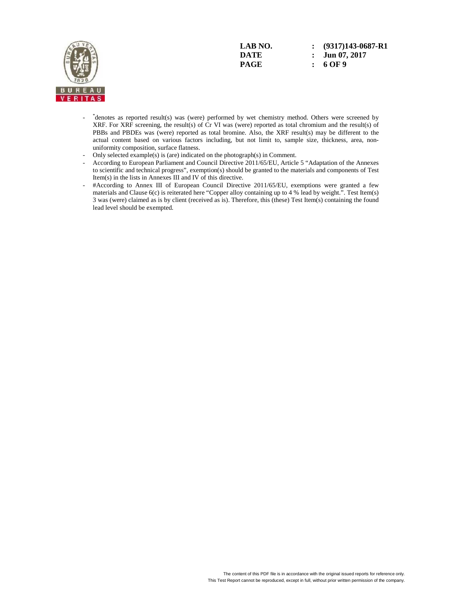

- \* denotes as reported result(s) was (were) performed by wet chemistry method. Others were screened by XRF. For XRF screening, the result(s) of Cr VI was (were) reported as total chromium and the result(s) of PBBs and PBDEs was (were) reported as total bromine. Also, the XRF result(s) may be different to the actual content based on various factors including, but not limit to, sample size, thickness, area, nonuniformity composition, surface flatness.
	- Only selected example(s) is (are) indicated on the photograph(s) in Comment.
	- According to European Parliament and Council Directive 2011/65/EU, Article 5 "Adaptation of the Annexes to scientific and technical progress", exemption(s) should be granted to the materials and components of Test Item(s) in the lists in Annexes III and IV of this directive.
	- #According to Annex III of European Council Directive 2011/65/EU, exemptions were granted a few materials and Clause 6(c) is reiterated here "Copper alloy containing up to 4 % lead by weight.". Test Item(s) 3 was (were) claimed as is by client (received as is). Therefore, this (these) Test Item(s) containing the found lead level should be exempted.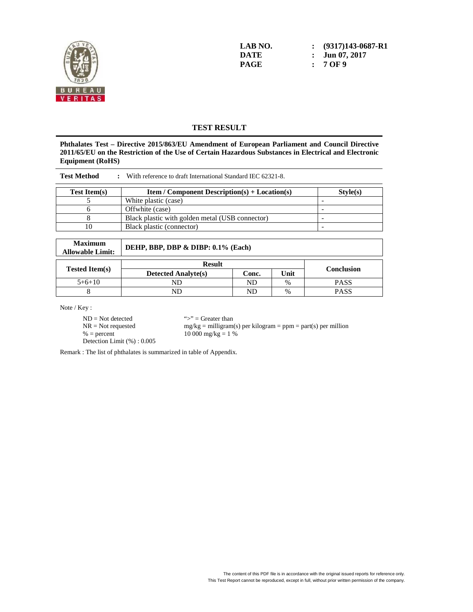

**LAB NO. : (9317)143-0687-R1 DATE : Jun 07, 2017 PAGE : 7 OF 9** 

#### **TEST RESULT**

**Phthalates Test – Directive 2015/863/EU Amendment of European Parliament and Council Directive 2011/65/EU on the Restriction of the Use of Certain Hazardous Substances in Electrical and Electronic Equipment (RoHS)** 

| <b>Test Method</b><br>With reference to draft International Standard IEC 62321-8.<br>$\bullet$ |                                                      |          |  |  |  |  |
|------------------------------------------------------------------------------------------------|------------------------------------------------------|----------|--|--|--|--|
| <b>Test Item(s)</b>                                                                            | <b>Item / Component Description(s) + Location(s)</b> | Style(s) |  |  |  |  |
|                                                                                                | White plastic (case)                                 |          |  |  |  |  |
|                                                                                                | Offwhite (case)                                      |          |  |  |  |  |
|                                                                                                | Black plastic with golden metal (USB connector)      | ۰        |  |  |  |  |
| 10                                                                                             | Black plastic (connector)                            |          |  |  |  |  |

| <b>Maximum</b><br><b>Allowable Limit:</b> | DEHP, BBP, DBP & DIBP: 0.1% (Each) |       |               |                   |  |  |
|-------------------------------------------|------------------------------------|-------|---------------|-------------------|--|--|
| <b>Tested Item(s)</b>                     | <b>Result</b>                      |       |               |                   |  |  |
|                                           | <b>Detected Analyte(s)</b>         | Conc. | Unit          | <b>Conclusion</b> |  |  |
| $5+6+10$                                  | ND                                 | ND    | $\%$          | <b>PASS</b>       |  |  |
|                                           | ND                                 | ND    | $\frac{0}{0}$ | <b>PASS</b>       |  |  |

Note / Key :

 $ND = Not detected$  ">" = Greater than<br>  $NR = Not$  requested  $mg/kg = milligram$  $% = percent$  10 000 mg/kg = 1 % Detection Limit (%) : 0.005

 $mg/kg =$  milligram(s) per kilogram = ppm = part(s) per million

Remark : The list of phthalates is summarized in table of Appendix.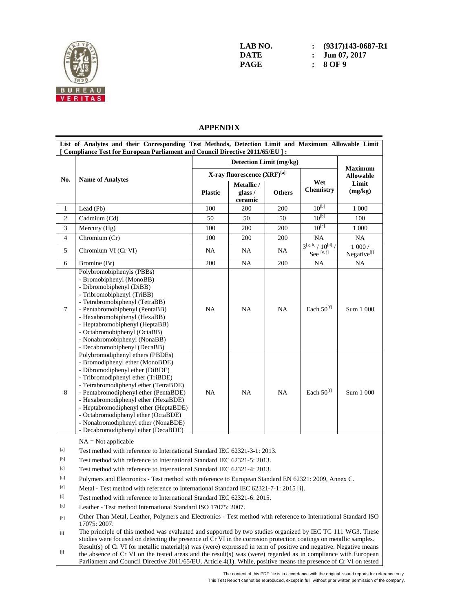

| LAB NO. | $\colon$ (9317)143-0687-R1 |
|---------|----------------------------|
| DATE    | : $Jun\ 07, 2017$          |
| PAGE    | $: 8$ OF 9                 |

#### **APPENDIX**

|                                                                                                                                                                                                                                                                                                                                                                                                                                                                                                                                                                                                                                                                                                                                                                                                                                                                                                                                  | [ Compliance Test for European Parliament and Council Directive 2011/65/EU ] :                                                                                                                                                                                                                                                                                                                                                                                              |                | Detection Limit (mg/kg)          |               |                                             |                                  |
|----------------------------------------------------------------------------------------------------------------------------------------------------------------------------------------------------------------------------------------------------------------------------------------------------------------------------------------------------------------------------------------------------------------------------------------------------------------------------------------------------------------------------------------------------------------------------------------------------------------------------------------------------------------------------------------------------------------------------------------------------------------------------------------------------------------------------------------------------------------------------------------------------------------------------------|-----------------------------------------------------------------------------------------------------------------------------------------------------------------------------------------------------------------------------------------------------------------------------------------------------------------------------------------------------------------------------------------------------------------------------------------------------------------------------|----------------|----------------------------------|---------------|---------------------------------------------|----------------------------------|
| No.                                                                                                                                                                                                                                                                                                                                                                                                                                                                                                                                                                                                                                                                                                                                                                                                                                                                                                                              | <b>Name of Analytes</b>                                                                                                                                                                                                                                                                                                                                                                                                                                                     |                | X-ray fluorescence (XRF)[a]      |               | <b>Maximum</b>                              |                                  |
|                                                                                                                                                                                                                                                                                                                                                                                                                                                                                                                                                                                                                                                                                                                                                                                                                                                                                                                                  |                                                                                                                                                                                                                                                                                                                                                                                                                                                                             |                |                                  |               | Wet                                         | <b>Allowable</b><br>Limit        |
|                                                                                                                                                                                                                                                                                                                                                                                                                                                                                                                                                                                                                                                                                                                                                                                                                                                                                                                                  |                                                                                                                                                                                                                                                                                                                                                                                                                                                                             | <b>Plastic</b> | Metallic /<br>glass /<br>ceramic | <b>Others</b> | <b>Chemistry</b>                            | (mg/kg)                          |
| 1                                                                                                                                                                                                                                                                                                                                                                                                                                                                                                                                                                                                                                                                                                                                                                                                                                                                                                                                | Lead (Pb)                                                                                                                                                                                                                                                                                                                                                                                                                                                                   | 100            | 200                              | 200           | $10^{[b]}$                                  | 1 0 0 0                          |
| $\overline{c}$                                                                                                                                                                                                                                                                                                                                                                                                                                                                                                                                                                                                                                                                                                                                                                                                                                                                                                                   | Cadmium (Cd)                                                                                                                                                                                                                                                                                                                                                                                                                                                                | 50             | 50                               | 50            | $10^{[b]}$                                  | 100                              |
| 3                                                                                                                                                                                                                                                                                                                                                                                                                                                                                                                                                                                                                                                                                                                                                                                                                                                                                                                                | Mercury (Hg)                                                                                                                                                                                                                                                                                                                                                                                                                                                                | 100            | 200                              | 200           | $10^{[c]}$                                  | 1 000                            |
| $\overline{4}$                                                                                                                                                                                                                                                                                                                                                                                                                                                                                                                                                                                                                                                                                                                                                                                                                                                                                                                   | Chromium (Cr)                                                                                                                                                                                                                                                                                                                                                                                                                                                               | 100            | 200                              | 200           | NA                                          | NA                               |
| 5                                                                                                                                                                                                                                                                                                                                                                                                                                                                                                                                                                                                                                                                                                                                                                                                                                                                                                                                | Chromium VI (Cr VI)                                                                                                                                                                                                                                                                                                                                                                                                                                                         | NA             | NA                               | NA            | $3^{[g, h]}/10^{[d]}$<br>See $^{\rm [e,j]}$ | 1000/<br>Negative <sup>[j]</sup> |
| 6                                                                                                                                                                                                                                                                                                                                                                                                                                                                                                                                                                                                                                                                                                                                                                                                                                                                                                                                | Bromine (Br)                                                                                                                                                                                                                                                                                                                                                                                                                                                                | 200            | NA                               | 200           | <b>NA</b>                                   | NA                               |
| $\tau$                                                                                                                                                                                                                                                                                                                                                                                                                                                                                                                                                                                                                                                                                                                                                                                                                                                                                                                           | Polybromobiphenyls (PBBs)<br>- Bromobiphenyl (MonoBB)<br>- Dibromobiphenyl (DiBB)<br>- Tribromobiphenyl (TriBB)<br>- Tetrabromobiphenyl (TetraBB)<br>- Pentabromobiphenyl (PentaBB)<br>- Hexabromobiphenyl (HexaBB)<br>- Heptabromobiphenyl (HeptaBB)<br>- Octabromobiphenyl (OctaBB)<br>- Nonabromobiphenyl (NonaBB)<br>- Decabromobiphenyl (DecaBB)                                                                                                                       | <b>NA</b>      | <b>NA</b>                        | NA            | Each $50^{[f]}$                             | Sum 1 000                        |
| 8                                                                                                                                                                                                                                                                                                                                                                                                                                                                                                                                                                                                                                                                                                                                                                                                                                                                                                                                | Polybromodiphenyl ethers (PBDEs)<br>- Bromodiphenyl ether (MonoBDE)<br>- Dibromodiphenyl ether (DiBDE)<br>- Tribromodiphenyl ether (TriBDE)<br>- Tetrabromodiphenyl ether (TetraBDE)<br>- Pentabromodiphenyl ether (PentaBDE)<br>- Hexabromodiphenyl ether (HexaBDE)<br>- Heptabromodiphenyl ether (HeptaBDE)<br>- Octabromodiphenyl ether (OctaBDE)<br>- Nonabromodiphenyl ether (NonaBDE)<br>- Decabromodiphenyl ether (DecaBDE)                                          | NA             | NA                               | NA            | Each 50 <sup>[f]</sup>                      | Sum 1 000                        |
| [a]                                                                                                                                                                                                                                                                                                                                                                                                                                                                                                                                                                                                                                                                                                                                                                                                                                                                                                                              | $NA = Not applicable$<br>Test method with reference to International Standard IEC 62321-3-1: 2013.                                                                                                                                                                                                                                                                                                                                                                          |                |                                  |               |                                             |                                  |
| [b]                                                                                                                                                                                                                                                                                                                                                                                                                                                                                                                                                                                                                                                                                                                                                                                                                                                                                                                              | Test method with reference to International Standard IEC 62321-5: 2013.                                                                                                                                                                                                                                                                                                                                                                                                     |                |                                  |               |                                             |                                  |
| [c]                                                                                                                                                                                                                                                                                                                                                                                                                                                                                                                                                                                                                                                                                                                                                                                                                                                                                                                              | Test method with reference to International Standard IEC 62321-4: 2013.                                                                                                                                                                                                                                                                                                                                                                                                     |                |                                  |               |                                             |                                  |
| [d]                                                                                                                                                                                                                                                                                                                                                                                                                                                                                                                                                                                                                                                                                                                                                                                                                                                                                                                              | Polymers and Electronics - Test method with reference to European Standard EN 62321: 2009, Annex C.                                                                                                                                                                                                                                                                                                                                                                         |                |                                  |               |                                             |                                  |
| $[{\rm e}]$                                                                                                                                                                                                                                                                                                                                                                                                                                                                                                                                                                                                                                                                                                                                                                                                                                                                                                                      | Metal - Test method with reference to International Standard IEC 62321-7-1: 2015 [i].                                                                                                                                                                                                                                                                                                                                                                                       |                |                                  |               |                                             |                                  |
| $[f] % \centering \includegraphics[width=0.9\columnwidth]{figures/fig_10.pdf} \caption{The average of the number of~\ref{fig:2016} for the $100$~\ref{fig:2016} for the $100$~\ref{fig:2016} for the $100$~\ref{fig:2016} for the $100$~\ref{fig:2016} for the $100$~\ref{fig:2016} for the $100$~\ref{fig:2016} for the $100$~\ref{fig:2016} for the $100$~\ref{fig:2016} for the $100$~\ref{fig:2016} for the $100$~\ref$                                                                                                                                                                                                                                                                                                                                                                                                                                                                                                      | Test method with reference to International Standard IEC 62321-6: 2015.                                                                                                                                                                                                                                                                                                                                                                                                     |                |                                  |               |                                             |                                  |
| [g]                                                                                                                                                                                                                                                                                                                                                                                                                                                                                                                                                                                                                                                                                                                                                                                                                                                                                                                              | Leather - Test method International Standard ISO 17075: 2007.                                                                                                                                                                                                                                                                                                                                                                                                               |                |                                  |               |                                             |                                  |
| $[h] \centering% \includegraphics[width=1.0\textwidth]{Figures/PN1.png} \caption{The 3D (black) model for the $L^2$-error of the estimators in the left and right. The left and right is the same as in the right.} \label{fig5}$                                                                                                                                                                                                                                                                                                                                                                                                                                                                                                                                                                                                                                                                                                | Other Than Metal, Leather, Polymers and Electronics - Test method with reference to International Standard ISO<br>17075: 2007.                                                                                                                                                                                                                                                                                                                                              |                |                                  |               |                                             |                                  |
| $[1] % \centering \includegraphics[width=0.9\columnwidth]{figures/fig_1a} \caption{The average number of times on the left and right. The number of times on the right, the number of times on the right, the number of times on the right, the number of times on the right, the number of times on the right, the number of times on the right, the number of times on the right, the number of times on the right, the number of times on the right, the number of times on the right, the number of times on the right, the number of times on the right, the number of times on the right, the number of times on the right, the number of times on the right, the number of times on the right, the number of times on the right, the number of times on the right, the number of times on the right, the number of times on the right, the number of times on the right, the number of times on the right, the number of$ | The principle of this method was evaluated and supported by two studies organized by IEC TC 111 WG3. These                                                                                                                                                                                                                                                                                                                                                                  |                |                                  |               |                                             |                                  |
| [j]                                                                                                                                                                                                                                                                                                                                                                                                                                                                                                                                                                                                                                                                                                                                                                                                                                                                                                                              | studies were focused on detecting the presence of Cr VI in the corrosion protection coatings on metallic samples.<br>Result(s) of Cr VI for metallic material(s) was (were) expressed in term of positive and negative. Negative means<br>the absence of Cr VI on the tested areas and the result(s) was (were) regarded as in compliance with European<br>Parliament and Council Directive 2011/65/EU, Article 4(1). While, positive means the presence of Cr VI on tested |                |                                  |               |                                             |                                  |